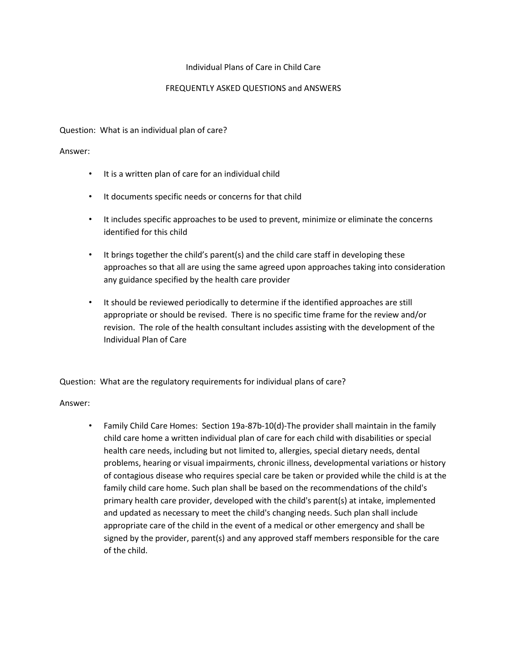### Individual Plans of Care in Child Care

### FREQUENTLY ASKED QUESTIONS and ANSWERS

Question: What is an individual plan of care?

#### Answer:

- It is a written plan of care for an individual child
- It documents specific needs or concerns for that child
- It includes specific approaches to be used to prevent, minimize or eliminate the concerns identified for this child
- It brings together the child's parent(s) and the child care staff in developing these approaches so that all are using the same agreed upon approaches taking into consideration any guidance specified by the health care provider
- It should be reviewed periodically to determine if the identified approaches are still appropriate or should be revised. There is no specific time frame for the review and/or revision. The role of the health consultant includes assisting with the development of the Individual Plan of Care

Question: What are the regulatory requirements for individual plans of care?

# Answer:

• Family Child Care Homes: Section 19a-87b-10(d)-The provider shall maintain in the family child care home a written individual plan of care for each child with disabilities or special health care needs, including but not limited to, allergies, special dietary needs, dental problems, hearing or visual impairments, chronic illness, developmental variations or history of contagious disease who requires special care be taken or provided while the child is at the family child care home. Such plan shall be based on the recommendations of the child's primary health care provider, developed with the child's parent(s) at intake, implemented and updated as necessary to meet the child's changing needs. Such plan shall include appropriate care of the child in the event of a medical or other emergency and shall be signed by the provider, parent(s) and any approved staff members responsible for the care of the child.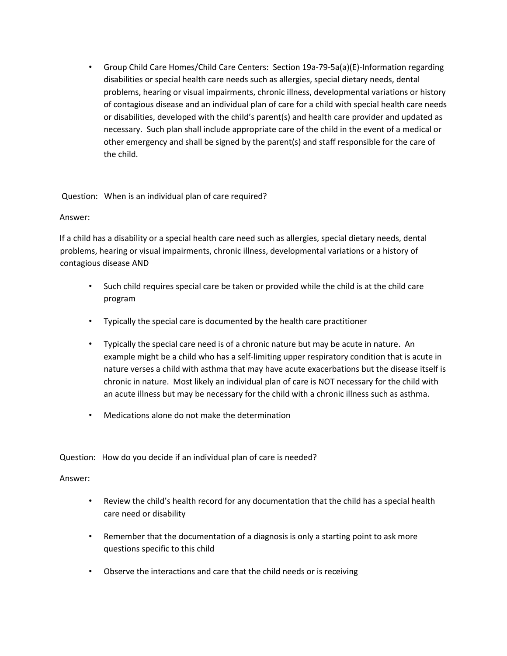• Group Child Care Homes/Child Care Centers: Section 19a-79-5a(a)(E)-Information regarding disabilities or special health care needs such as allergies, special dietary needs, dental problems, hearing or visual impairments, chronic illness, developmental variations or history of contagious disease and an individual plan of care for a child with special health care needs or disabilities, developed with the child's parent(s) and health care provider and updated as necessary. Such plan shall include appropriate care of the child in the event of a medical or other emergency and shall be signed by the parent(s) and staff responsible for the care of the child.

Question: When is an individual plan of care required?

# Answer:

If a child has a disability or a special health care need such as allergies, special dietary needs, dental problems, hearing or visual impairments, chronic illness, developmental variations or a history of contagious disease AND

- Such child requires special care be taken or provided while the child is at the child care program
- Typically the special care is documented by the health care practitioner
- Typically the special care need is of a chronic nature but may be acute in nature. An example might be a child who has a self-limiting upper respiratory condition that is acute in nature verses a child with asthma that may have acute exacerbations but the disease itself is chronic in nature. Most likely an individual plan of care is NOT necessary for the child with an acute illness but may be necessary for the child with a chronic illness such as asthma.
- Medications alone do not make the determination

Question: How do you decide if an individual plan of care is needed?

# Answer:

- Review the child's health record for any documentation that the child has a special health care need or disability
- Remember that the documentation of a diagnosis is only a starting point to ask more questions specific to this child
- Observe the interactions and care that the child needs or is receiving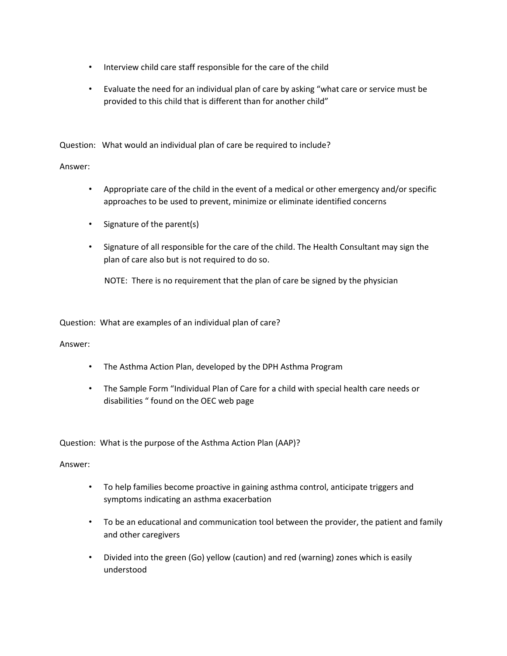- Interview child care staff responsible for the care of the child
- Evaluate the need for an individual plan of care by asking "what care or service must be provided to this child that is different than for another child"

Question: What would an individual plan of care be required to include?

### Answer:

- Appropriate care of the child in the event of a medical or other emergency and/or specific approaches to be used to prevent, minimize or eliminate identified concerns
- Signature of the parent(s)
- Signature of all responsible for the care of the child. The Health Consultant may sign the plan of care also but is not required to do so.

NOTE: There is no requirement that the plan of care be signed by the physician

Question: What are examples of an individual plan of care?

#### Answer:

- The Asthma Action Plan, developed by the DPH Asthma Program
- The Sample Form "Individual Plan of Care for a child with special health care needs or disabilities " found on the OEC web page

Question: What is the purpose of the Asthma Action Plan (AAP)?

#### Answer:

- To help families become proactive in gaining asthma control, anticipate triggers and symptoms indicating an asthma exacerbation
- To be an educational and communication tool between the provider, the patient and family and other caregivers
- Divided into the green (Go) yellow (caution) and red (warning) zones which is easily understood